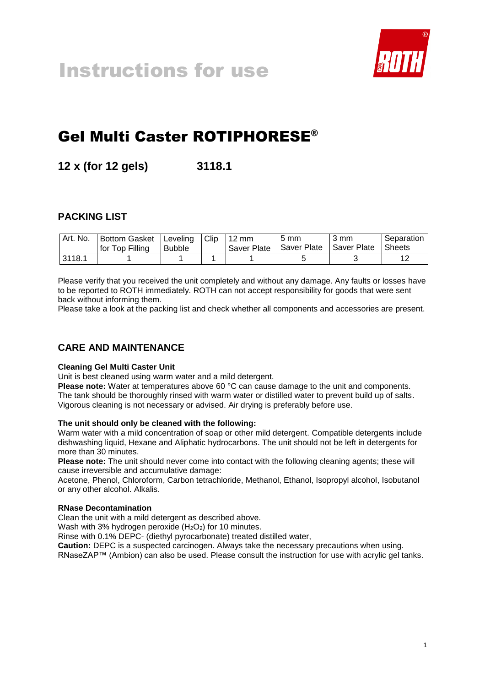

# Gel Multi Caster ROTIPHORESE®

**12 x (for 12 gels) 3118.1**

# **PACKING LIST**

| Art. No. | Bottom Gasket<br>for Top Filling | Leveling Clip<br><b>Bubble</b> | $112 \text{ mm}$<br>Saver Plate | $5 \text{ mm}$<br>Saver Plate | 3 mm<br>I Saver Plate | Separation<br><b>Sheets</b> |
|----------|----------------------------------|--------------------------------|---------------------------------|-------------------------------|-----------------------|-----------------------------|
| 3118.1   |                                  |                                |                                 |                               |                       | 10                          |

Please verify that you received the unit completely and without any damage. Any faults or losses have to be reported to ROTH immediately. ROTH can not accept responsibility for goods that were sent back without informing them.

Please take a look at the packing list and check whether all components and accessories are present.

# **CARE AND MAINTENANCE**

#### **Cleaning Gel Multi Caster Unit**

Unit is best cleaned using warm water and a mild detergent.

**Please note:** Water at temperatures above 60 °C can cause damage to the unit and components. The tank should be thoroughly rinsed with warm water or distilled water to prevent build up of salts. Vigorous cleaning is not necessary or advised. Air drying is preferably before use.

#### **The unit should only be cleaned with the following:**

Warm water with a mild concentration of soap or other mild detergent. Compatible detergents include dishwashing liquid, Hexane and Aliphatic hydrocarbons. The unit should not be left in detergents for more than 30 minutes.

**Please note:** The unit should never come into contact with the following cleaning agents; these will cause irreversible and accumulative damage:

Acetone, Phenol, Chloroform, Carbon tetrachloride, Methanol, Ethanol, Isopropyl alcohol, Isobutanol or any other alcohol. Alkalis.

#### **RNase Decontamination**

Clean the unit with a mild detergent as described above.

Wash with 3% hydrogen peroxide  $(H_2O_2)$  for 10 minutes.

Rinse with 0.1% DEPC- (diethyl pyrocarbonate) treated distilled water,

**Caution:** DEPC is a suspected carcinogen. Always take the necessary precautions when using. RNaseZAP™ (Ambion) can also be used. Please consult the instruction for use with acrylic gel tanks.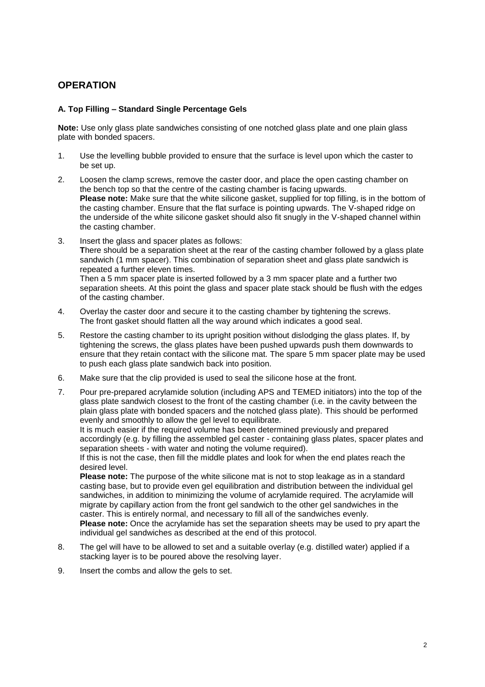## **OPERATION**

#### **A. Top Filling – Standard Single Percentage Gels**

**Note:** Use only glass plate sandwiches consisting of one notched glass plate and one plain glass plate with bonded spacers.

- 1. Use the levelling bubble provided to ensure that the surface is level upon which the caster to be set up.
- 2. Loosen the clamp screws, remove the caster door, and place the open casting chamber on the bench top so that the centre of the casting chamber is facing upwards. **Please note:** Make sure that the white silicone gasket, supplied for top filling, is in the bottom of the casting chamber. Ensure that the flat surface is pointing upwards. The V-shaped ridge on the underside of the white silicone gasket should also fit snugly in the V-shaped channel within the casting chamber.
- 3. Insert the glass and spacer plates as follows: **T**here should be a separation sheet at the rear of the casting chamber followed by a glass plate sandwich (1 mm spacer). This combination of separation sheet and glass plate sandwich is repeated a further eleven times. Then a 5 mm spacer plate is inserted followed by a 3 mm spacer plate and a further two separation sheets. At this point the glass and spacer plate stack should be flush with the edges
- of the casting chamber. 4. Overlay the caster door and secure it to the casting chamber by tightening the screws. The front gasket should flatten all the way around which indicates a good seal.
- 5. Restore the casting chamber to its upright position without dislodging the glass plates. If, by tightening the screws, the glass plates have been pushed upwards push them downwards to ensure that they retain contact with the silicone mat. The spare 5 mm spacer plate may be used to push each glass plate sandwich back into position.
- 6. Make sure that the clip provided is used to seal the silicone hose at the front.
- 7. Pour pre-prepared acrylamide solution (including APS and TEMED initiators) into the top of the glass plate sandwich closest to the front of the casting chamber (i.e. in the cavity between the plain glass plate with bonded spacers and the notched glass plate). This should be performed evenly and smoothly to allow the gel level to equilibrate.

It is much easier if the required volume has been determined previously and prepared accordingly (e.g. by filling the assembled gel caster - containing glass plates, spacer plates and separation sheets - with water and noting the volume required).

If this is not the case, then fill the middle plates and look for when the end plates reach the desired level.

**Please note:** The purpose of the white silicone mat is not to stop leakage as in a standard casting base, but to provide even gel equilibration and distribution between the individual gel sandwiches, in addition to minimizing the volume of acrylamide required. The acrylamide will migrate by capillary action from the front gel sandwich to the other gel sandwiches in the caster. This is entirely normal, and necessary to fill all of the sandwiches evenly.

**Please note:** Once the acrylamide has set the separation sheets may be used to pry apart the individual gel sandwiches as described at the end of this protocol.

- 8. The gel will have to be allowed to set and a suitable overlay (e.g. distilled water) applied if a stacking layer is to be poured above the resolving layer.
- 9. Insert the combs and allow the gels to set.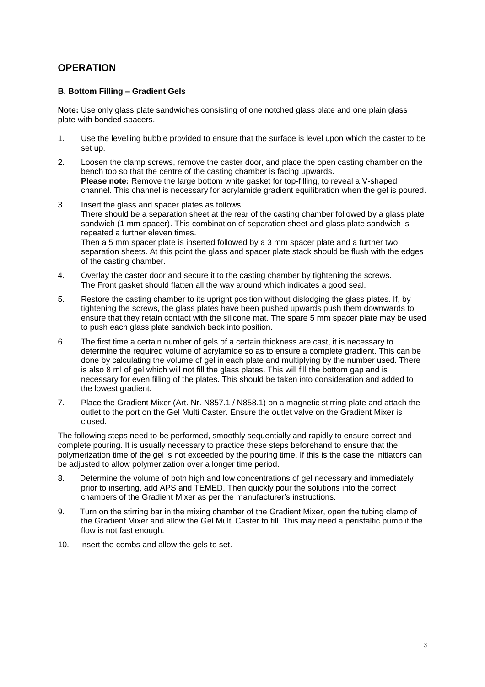## **OPERATION**

#### **B. Bottom Filling – Gradient Gels**

**Note:** Use only glass plate sandwiches consisting of one notched glass plate and one plain glass plate with bonded spacers.

- 1. Use the levelling bubble provided to ensure that the surface is level upon which the caster to be set up.
- 2. Loosen the clamp screws, remove the caster door, and place the open casting chamber on the bench top so that the centre of the casting chamber is facing upwards. **Please note:** Remove the large bottom white gasket for top-filling, to reveal a V-shaped channel. This channel is necessary for acrylamide gradient equilibration when the gel is poured.
- 3. Insert the glass and spacer plates as follows: There should be a separation sheet at the rear of the casting chamber followed by a glass plate sandwich (1 mm spacer). This combination of separation sheet and glass plate sandwich is repeated a further eleven times. Then a 5 mm spacer plate is inserted followed by a 3 mm spacer plate and a further two separation sheets. At this point the glass and spacer plate stack should be flush with the edges of the casting chamber.
- 4. Overlay the caster door and secure it to the casting chamber by tightening the screws. The Front gasket should flatten all the way around which indicates a good seal.
- 5. Restore the casting chamber to its upright position without dislodging the glass plates. If, by tightening the screws, the glass plates have been pushed upwards push them downwards to ensure that they retain contact with the silicone mat. The spare 5 mm spacer plate may be used to push each glass plate sandwich back into position.
- 6. The first time a certain number of gels of a certain thickness are cast, it is necessary to determine the required volume of acrylamide so as to ensure a complete gradient. This can be done by calculating the volume of gel in each plate and multiplying by the number used. There is also 8 ml of gel which will not fill the glass plates. This will fill the bottom gap and is necessary for even filling of the plates. This should be taken into consideration and added to the lowest gradient.
- 7. Place the Gradient Mixer (Art. Nr. N857.1 / N858.1) on a magnetic stirring plate and attach the outlet to the port on the Gel Multi Caster. Ensure the outlet valve on the Gradient Mixer is closed.

The following steps need to be performed, smoothly sequentially and rapidly to ensure correct and complete pouring. It is usually necessary to practice these steps beforehand to ensure that the polymerization time of the gel is not exceeded by the pouring time. If this is the case the initiators can be adjusted to allow polymerization over a longer time period.

- 8. Determine the volume of both high and low concentrations of gel necessary and immediately prior to inserting, add APS and TEMED. Then quickly pour the solutions into the correct chambers of the Gradient Mixer as per the manufacturer's instructions.
- 9. Turn on the stirring bar in the mixing chamber of the Gradient Mixer, open the tubing clamp of the Gradient Mixer and allow the Gel Multi Caster to fill. This may need a peristaltic pump if the flow is not fast enough.
- 10. Insert the combs and allow the gels to set.